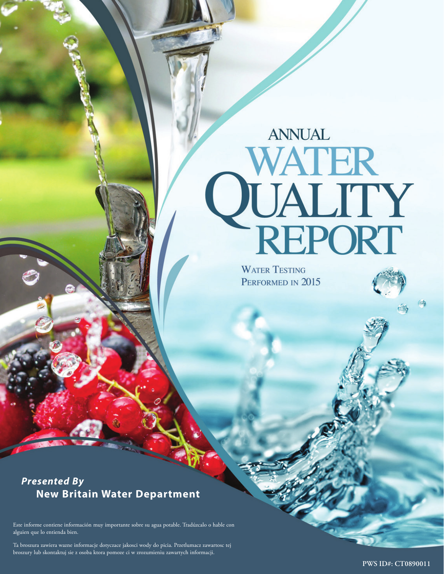# **ANNUAL QUALITY**<br>**QUALITY**<br>REPORT

**WATER TESTING** PERFORMED IN 2015

# *Presented By*  **New Britain Water Department**

Este informe contiene información muy importante sobre su agua potable. Tradúzcalo o hable con alguien que lo entienda bien.

Ta broszura zawiera wazne informacje dotyczace jakosci wody do picia. Przetlumacz zawartosc tej broszury lub skontaktuj sie z osoba ktora pomoze ci w zrozumieniu zawartych informacji.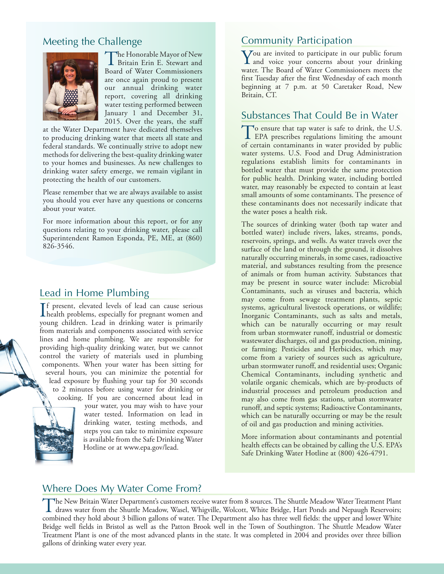## Meeting the Challenge



The Honorable Mayor of New Britain Erin E. Stewart and Board of Water Commissioners are once again proud to present our annual drinking water report, covering all drinking water testing performed between January 1 and December 31, 2015. Over the years, the staff

at the Water Department have dedicated themselves to producing drinking water that meets all state and federal standards. We continually strive to adopt new methods for delivering the best-quality drinking water to your homes and businesses. As new challenges to drinking water safety emerge, we remain vigilant in protecting the health of our customers.

Please remember that we are always available to assist you should you ever have any questions or concerns about your water.

For more information about this report, or for any questions relating to your drinking water, please call Superintendent Ramon Esponda, PE, ME, at (860) 826-3546.

#### Lead in Home Plumbing

If present, elevated levels of lead can cause serious<br>health problems, especially for pregnant women and f present, elevated levels of lead can cause serious young children. Lead in drinking water is primarily from materials and components associated with service lines and home plumbing. We are responsible for providing high-quality drinking water, but we cannot control the variety of materials used in plumbing components. When your water has been sitting for several hours, you can minimize the potential for lead exposure by flushing your tap for 30 seconds to 2 minutes before using water for drinking or cooking. If you are concerned about lead in



your water, you may wish to have your water tested. Information on lead in drinking water, testing methods, and steps you can take to minimize exposure is available from the Safe Drinking Water Hotline or at www.epa.gov/lead.

#### Community Participation

You are invited to participate in our public forum<br>and voice your concerns about your drinking<br>waves The Board of Water Commissioners most the water. The Board of Water Commissioners meets the first Tuesday after the first Wednesday of each month beginning at 7 p.m. at 50 Caretaker Road, New Britain, CT.

#### Substances That Could Be in Water

To ensure that tap water is safe to drink, the U.S. **L** EPA prescribes regulations limiting the amount of certain contaminants in water provided by public water systems. U.S. Food and Drug Administration regulations establish limits for contaminants in bottled water that must provide the same protection for public health. Drinking water, including bottled water, may reasonably be expected to contain at least small amounts of some contaminants. The presence of these contaminants does not necessarily indicate that the water poses a health risk.

The sources of drinking water (both tap water and bottled water) include rivers, lakes, streams, ponds, reservoirs, springs, and wells. As water travels over the surface of the land or through the ground, it dissolves naturally occurring minerals, in some cases, radioactive material, and substances resulting from the presence of animals or from human activity. Substances that may be present in source water include: Microbial Contaminants, such as viruses and bacteria, which may come from sewage treatment plants, septic systems, agricultural livestock operations, or wildlife; Inorganic Contaminants, such as salts and metals, which can be naturally occurring or may result from urban stormwater runoff, industrial or domestic wastewater discharges, oil and gas production, mining, or farming; Pesticides and Herbicides, which may come from a variety of sources such as agriculture, urban stormwater runoff, and residential uses; Organic Chemical Contaminants, including synthetic and volatile organic chemicals, which are by-products of industrial processes and petroleum production and may also come from gas stations, urban stormwater runoff, and septic systems; Radioactive Contaminants, which can be naturally occurring or may be the result of oil and gas production and mining activities.

More information about contaminants and potential health effects can be obtained by calling the U.S. EPA's Safe Drinking Water Hotline at (800) 426-4791.

#### Where Does My Water Come From?

The New Britain Water Department's customers receive water from 8 sources. The Shuttle Meadow Water Treatment Plant<br>draws water from the Shuttle Meadow, Wasel, Whigville, Wolcott, White Bridge, Hart Ponds and Nepaugh Reser combined they hold about 3 billion gallons of water. The Department also has three well fields: the upper and lower White Bridge well fields in Bristol as well as the Patton Brook well in the Town of Southington. The Shuttle Meadow Water Treatment Plant is one of the most advanced plants in the state. It was completed in 2004 and provides over three billion gallons of drinking water every year.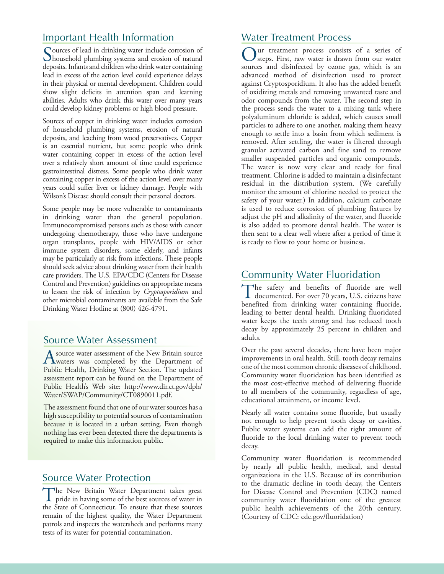## Important Health Information

Sources of lead in drinking water include corrosion of<br>household plumbing systems and erosion of natural<br>denotes be distributed to the lower constitution deposits. Infants and children who drink water containing lead in excess of the action level could experience delays in their physical or mental development. Children could show slight deficits in attention span and learning abilities. Adults who drink this water over many years could develop kidney problems or high blood pressure.

Sources of copper in drinking water includes corrosion of household plumbing systems, erosion of natural deposits, and leaching from wood preservatives. Copper is an essential nutrient, but some people who drink water containing copper in excess of the action level over a relatively short amount of time could experience gastrointestinal distress. Some people who drink water containing copper in excess of the action level over many years could suffer liver or kidney damage. People with Wilson's Disease should consult their personal doctors.

Some people may be more vulnerable to contaminants in drinking water than the general population. Immunocompromised persons such as those with cancer undergoing chemotherapy, those who have undergone organ transplants, people with HIV/AIDS or other immune system disorders, some elderly, and infants may be particularly at risk from infections. These people should seek advice about drinking water from their health care providers. The U.S. EPA/CDC (Centers for Disease Control and Prevention) guidelines on appropriate means to lessen the risk of infection by *Cryptosporidium* and other microbial contaminants are available from the Safe Drinking Water Hotline at (800) 426-4791.

#### Source Water Assessment

A source water assessment of the New Britain source<br>
waters was completed by the Department of Public Health, Drinking Water Section. The updated assessment report can be found on the Department of Public Health's Web site: http://www.dir.ct.gov/dph/ Water/SWAP/Community/CT0890011.pdf.

The assessment found that one of our water sources has a high susceptibility to potential sources of contamination because it is located in a urban setting. Even though nothing has ever been detected there the departments is required to make this information public.

#### Source Water Protection

The New Britain Water Department takes great pride in having some of the best sources of water in the State of Connecticut. To ensure that these sources remain of the highest quality, the Water Department patrols and inspects the watersheds and performs many tests of its water for potential contamination.

## Water Treatment Process

ur treatment process consists of a series of steps. First, raw water is drawn from our water sources and disinfected by ozone gas, which is an advanced method of disinfection used to protect against Cryptosporidium. It also has the added benefit of oxidizing metals and removing unwanted taste and odor compounds from the water. The second step in the process sends the water to a mixing tank where polyaluminum chloride is added, which causes small particles to adhere to one another, making them heavy enough to settle into a basin from which sediment is removed. After settling, the water is filtered through granular activated carbon and fine sand to remove smaller suspended particles and organic compounds. The water is now very clear and ready for final treatment. Chlorine is added to maintain a disinfectant residual in the distribution system. (We carefully monitor the amount of chlorine needed to protect the safety of your water.) In addition, calcium carbonate is used to reduce corrosion of plumbing fixtures by adjust the pH and alkalinity of the water, and fluoride is also added to promote dental health. The water is then sent to a clear well where after a period of time it is ready to flow to your home or business.

## Community Water Fluoridation

The safety and benefits of fluoride are well documented. For over 70 years, U.S. citizens have benefited from drinking water containing fluoride, leading to better dental health. Drinking fluoridated water keeps the teeth strong and has reduced tooth decay by approximately 25 percent in children and adults.

Over the past several decades, there have been major improvements in oral health. Still, tooth decay remains one of the most common chronic diseases of childhood. Community water fluoridation has been identified as the most cost-effective method of delivering fluoride to all members of the community, regardless of age, educational attainment, or income level.

Nearly all water contains some fluoride, but usually not enough to help prevent tooth decay or cavities. Public water systems can add the right amount of fluoride to the local drinking water to prevent tooth decay.

Community water fluoridation is recommended by nearly all public health, medical, and dental organizations in the U.S. Because of its contribution to the dramatic decline in tooth decay, the Centers for Disease Control and Prevention (CDC) named community water fluoridation one of the greatest public health achievements of the 20th century. (Courtesy of CDC: cdc.gov/fluoridation)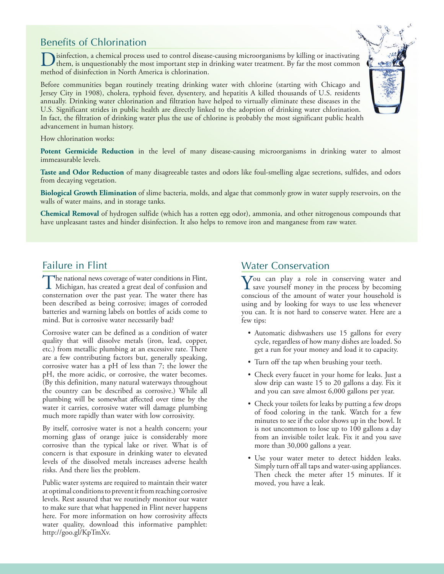## Benefits of Chlorination

Disinfection, a chemical process used to control disease-causing microorganisms by killing or inactivating them, is unquestionably the most important step in drinking water treatment. By far the most common model of disinf method of disinfection in North America is chlorination.

Before communities began routinely treating drinking water with chlorine (starting with Chicago and Jersey City in 1908), cholera, typhoid fever, dysentery, and hepatitis A killed thousands of U.S. residents annually. Drinking water chlorination and filtration have helped to virtually eliminate these diseases in the U.S. Significant strides in public health are directly linked to the adoption of drinking water chlorination. In fact, the filtration of drinking water plus the use of chlorine is probably the most significant public health advancement in human history.

How chlorination works:

**Potent Germicide Reduction** in the level of many disease-causing microorganisms in drinking water to almost immeasurable levels.

**Taste and Odor Reduction** of many disagreeable tastes and odors like foul-smelling algae secretions, sulfides, and odors from decaying vegetation.

**Biological Growth Elimination** of slime bacteria, molds, and algae that commonly grow in water supply reservoirs, on the walls of water mains, and in storage tanks.

**Chemical Removal** of hydrogen sulfide (which has a rotten egg odor), ammonia, and other nitrogenous compounds that have unpleasant tastes and hinder disinfection. It also helps to remove iron and manganese from raw water.

## Failure in Flint

The national news coverage of water conditions in Flint,<br>Michigan, has created a great deal of confusion and<br>nontranging away the next were The water sheet has consternation over the past year. The water there has been described as being corrosive; images of corroded batteries and warning labels on bottles of acids come to mind. But is corrosive water necessarily bad?

Corrosive water can be defined as a condition of water quality that will dissolve metals (iron, lead, copper, etc.) from metallic plumbing at an excessive rate. There are a few contributing factors but, generally speaking, corrosive water has a pH of less than 7; the lower the pH, the more acidic, or corrosive, the water becomes. (By this definition, many natural waterways throughout the country can be described as corrosive.) While all plumbing will be somewhat affected over time by the water it carries, corrosive water will damage plumbing much more rapidly than water with low corrosivity.

By itself, corrosive water is not a health concern; your morning glass of orange juice is considerably more corrosive than the typical lake or river. What is of concern is that exposure in drinking water to elevated levels of the dissolved metals increases adverse health risks. And there lies the problem.

Public water systems are required to maintain their water at optimal conditions to prevent it from reaching corrosive levels. Rest assured that we routinely monitor our water to make sure that what happened in Flint never happens here. For more information on how corrosivity affects water quality, download this informative pamphlet: http://goo.gl/KpTmXv.

## Water Conservation

 $\sum$ ou can play a role in conserving water and save yourself money in the process by becoming conscious of the amount of water your household is using and by looking for ways to use less whenever you can. It is not hard to conserve water. Here are a few tips:

- Automatic dishwashers use 15 gallons for every cycle, regardless of how many dishes are loaded. So get a run for your money and load it to capacity.
- Turn off the tap when brushing your teeth.
- Check every faucet in your home for leaks. Just a slow drip can waste 15 to 20 gallons a day. Fix it and you can save almost 6,000 gallons per year.
- Check your toilets for leaks by putting a few drops of food coloring in the tank. Watch for a few minutes to see if the color shows up in the bowl. It is not uncommon to lose up to 100 gallons a day from an invisible toilet leak. Fix it and you save more than 30,000 gallons a year.
- Use your water meter to detect hidden leaks. Simply turn off all taps and water-using appliances. Then check the meter after 15 minutes. If it moved, you have a leak.

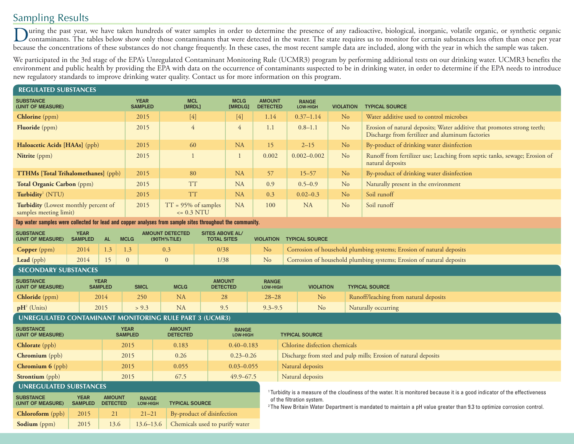## Sampling Results

During the past year, we have taken hundreds of water samples in order to determine the presence of any radioactive, biological, inorganic, volatile organic, or synthetic organic<br>contaminants. The tables below show only th because the concentrations of these substances do not change frequently. In these cases, the most recent sample data are included, along with the year in which the sample was taken.

We participated in the 3rd stage of the EPA's Unregulated Contaminant Monitoring Rule (UCMR3) program by performing additional tests on our drinking water. UCMR3 benefits the environment and public health by providing the EPA with data on the occurrence of contaminants suspected to be in drinking water, in order to determine if the EPA needs to introduce new regulatory standards to improve drinking water quality. Contact us for more information on this program.

| <b>REGULATED SUBSTANCES</b>                                                                                                                                              |                                                           |                                  |                               |                                                       |                                                                                       |                        |                                  |                |                                                                                                                                                               |                               |                       |                                                                                                                             |  |
|--------------------------------------------------------------------------------------------------------------------------------------------------------------------------|-----------------------------------------------------------|----------------------------------|-------------------------------|-------------------------------------------------------|---------------------------------------------------------------------------------------|------------------------|----------------------------------|----------------|---------------------------------------------------------------------------------------------------------------------------------------------------------------|-------------------------------|-----------------------|-----------------------------------------------------------------------------------------------------------------------------|--|
| <b>SUBSTANCE</b><br>(UNIT OF MEASURE)                                                                                                                                    |                                                           |                                  |                               | <b>MCL</b><br><b>YEAR</b><br><b>SAMPLED</b><br>[MRDL] |                                                                                       | <b>MCLG</b><br>[MRDLG] | <b>AMOUNT</b><br><b>DETECTED</b> |                | <b>RANGE</b><br>LOW-HIGH                                                                                                                                      | <b>VIOLATION</b>              | <b>TYPICAL SOURCE</b> |                                                                                                                             |  |
| <b>Chlorine</b> (ppm)                                                                                                                                                    |                                                           |                                  |                               | 2015                                                  | $[4]$                                                                                 |                        | $[4]$                            | 1.14           |                                                                                                                                                               | $0.37 - 1.14$                 | N <sub>o</sub>        | Water additive used to control microbes                                                                                     |  |
| Fluoride (ppm)                                                                                                                                                           |                                                           |                                  |                               | 2015                                                  | $\overline{4}$                                                                        |                        | 4                                | 1.1            | $0.8 - 1.1$                                                                                                                                                   |                               | N <sub>o</sub>        | Erosion of natural deposits; Water additive that promotes strong teeth;<br>Discharge from fertilizer and aluminum factories |  |
| Haloacetic Acids [HAAs] (ppb)                                                                                                                                            |                                                           |                                  |                               | 2015                                                  | 60                                                                                    |                        | <b>NA</b>                        | 15             |                                                                                                                                                               | $2 - 15$                      | N <sub>o</sub>        | By-product of drinking water disinfection                                                                                   |  |
| Nitrite (ppm)                                                                                                                                                            |                                                           |                                  |                               | 2015                                                  | $\overline{1}$                                                                        |                        | -1                               | 0.002          |                                                                                                                                                               | $0.002 - 0.002$               |                       | Runoff from fertilizer use; Leaching from septic tanks, sewage; Erosion of<br>natural deposits                              |  |
| <b>TTHMs [Total Trihalomethanes]</b> (ppb)                                                                                                                               |                                                           |                                  |                               | 2015                                                  | 80                                                                                    |                        | <b>NA</b>                        | 57             |                                                                                                                                                               | $15 - 57$<br>N <sub>o</sub>   |                       | By-product of drinking water disinfection                                                                                   |  |
| Total Organic Carbon (ppm)                                                                                                                                               |                                                           |                                  |                               | 2015                                                  | <b>TT</b>                                                                             |                        | <b>NA</b>                        | 0.9            |                                                                                                                                                               | $0.5 - 0.9$<br>N <sub>o</sub> |                       | Naturally present in the environment                                                                                        |  |
| Turbidity <sup>1</sup> (NTU)                                                                                                                                             |                                                           |                                  |                               | 2015                                                  | <b>TT</b>                                                                             |                        | <b>NA</b>                        | 0.3            |                                                                                                                                                               | $0.02 - 0.3$                  | N <sub>o</sub>        | Soil runoff                                                                                                                 |  |
| Turbidity (Lowest monthly percent of<br>samples meeting limit)                                                                                                           |                                                           |                                  |                               | 2015                                                  | $TT = 95%$ of samples<br>$\epsilon$ = 0.3 NTU                                         |                        | <b>NA</b>                        | 100            |                                                                                                                                                               | <b>NA</b>                     | N <sub>o</sub>        | Soil runoff                                                                                                                 |  |
| Tap water samples were collected for lead and copper analyses from sample sites throughout the community.                                                                |                                                           |                                  |                               |                                                       |                                                                                       |                        |                                  |                |                                                                                                                                                               |                               |                       |                                                                                                                             |  |
| <b>SUBSTANCE</b><br>(UNIT OF MEASURE)                                                                                                                                    | <b>YEAR</b><br><b>SAMPLED</b><br><b>AL</b><br><b>MCLG</b> |                                  |                               |                                                       | <b>AMOUNT DETECTED</b><br><b>SITES ABOVE AL/</b><br>(90TH%TILE)<br><b>TOTAL SITES</b> |                        |                                  |                | <b>VIOLATION TYPICAL SOURCE</b>                                                                                                                               |                               |                       |                                                                                                                             |  |
| <b>Copper</b> (ppm)                                                                                                                                                      | 2014<br>1.3<br>1.3                                        |                                  |                               |                                                       | 0.3<br>0/38                                                                           |                        |                                  | N <sub>o</sub> | Corrosion of household plumbing systems; Erosion of natural deposits                                                                                          |                               |                       |                                                                                                                             |  |
| Lead (ppb)                                                                                                                                                               | 2014<br>15                                                |                                  | $\overline{0}$                | $\mathbf{0}$                                          |                                                                                       |                        | 1/38                             |                | Corrosion of household plumbing systems; Erosion of natural deposits                                                                                          |                               |                       |                                                                                                                             |  |
| <b>SECONDARY SUBSTANCES</b>                                                                                                                                              |                                                           |                                  |                               |                                                       |                                                                                       |                        |                                  |                |                                                                                                                                                               |                               |                       |                                                                                                                             |  |
| <b>SUBSTANCE</b><br>(UNIT OF MEASURE)                                                                                                                                    | <b>YEAR</b><br><b>SAMPLED</b>                             |                                  | <b>SMCL</b>                   |                                                       | <b>AMOUNT</b><br><b>MCLG</b><br><b>DETECTED</b>                                       |                        | <b>RANGE</b><br>LOW-HIGH         |                |                                                                                                                                                               | <b>VIOLATION</b>              |                       | <b>TYPICAL SOURCE</b>                                                                                                       |  |
| Chloride (ppm)                                                                                                                                                           | 2014                                                      |                                  | 250                           |                                                       | <b>NA</b>                                                                             | 28                     |                                  | $28 - 28$      |                                                                                                                                                               | N <sub>o</sub>                |                       | Runoff/leaching from natural deposits                                                                                       |  |
| $pH^2$ (Units)                                                                                                                                                           | 2015                                                      |                                  |                               | > 9.3                                                 | <b>NA</b><br>9.5                                                                      |                        |                                  | $9.3 - 9.5$    |                                                                                                                                                               | N <sub>o</sub>                |                       | Naturally occurring                                                                                                         |  |
| <b>UNREGULATED CONTAMINANT MONITORING RULE PART 3 (UCMR3)</b>                                                                                                            |                                                           |                                  |                               |                                                       |                                                                                       |                        |                                  |                |                                                                                                                                                               |                               |                       |                                                                                                                             |  |
| <b>SUBSTANCE</b><br>(UNIT OF MEASURE)                                                                                                                                    |                                                           |                                  | <b>YEAR</b><br><b>SAMPLED</b> |                                                       | <b>AMOUNT</b><br><b>DETECTED</b>                                                      |                        | <b>RANGE</b><br>LOW-HIGH         |                | <b>TYPICAL SOURCE</b>                                                                                                                                         |                               |                       |                                                                                                                             |  |
| Chlorate (ppb)                                                                                                                                                           |                                                           | 2015                             |                               |                                                       | 0.183                                                                                 | $0.40 - 0.183$         |                                  |                | Chlorine disfection chemicals                                                                                                                                 |                               |                       |                                                                                                                             |  |
| <b>Chromium</b> (ppb)                                                                                                                                                    |                                                           |                                  | 2015                          |                                                       | 0.26                                                                                  | $0.23 - 0.26$          |                                  |                | Discharge from steel and pulp mills; Erosion of natural deposits                                                                                              |                               |                       |                                                                                                                             |  |
| Chromium 6 (ppb)                                                                                                                                                         |                                                           |                                  | 2015                          |                                                       | 0.055                                                                                 |                        | $0.03 - 0.055$                   |                | Natural deposits                                                                                                                                              |                               |                       |                                                                                                                             |  |
| Strontium (ppb)                                                                                                                                                          |                                                           |                                  | 2015                          |                                                       | 67.5                                                                                  | $49.9 - 67.5$          |                                  |                | Natural deposits                                                                                                                                              |                               |                       |                                                                                                                             |  |
| <b>UNREGULATED SUBSTANCES</b><br><sup>1</sup> Turbidity is a measure of the cloudiness of the water. It is monitored because it is a good indicator of the effectiveness |                                                           |                                  |                               |                                                       |                                                                                       |                        |                                  |                |                                                                                                                                                               |                               |                       |                                                                                                                             |  |
| <b>SUBSTANCE</b><br>(UNIT OF MEASURE)                                                                                                                                    | <b>YEAR</b><br><b>SAMPLED</b>                             | <b>AMOUNT</b><br><b>DETECTED</b> |                               | <b>RANGE</b><br>LOW-HIGH                              | <b>TYPICAL SOURCE</b>                                                                 |                        |                                  |                | of the filtration system.<br><sup>2</sup> The New Britain Water Department is mandated to maintain a pH value greater than 9.3 to optimize corrosion control. |                               |                       |                                                                                                                             |  |
| <b>Chloroform</b> (ppb)                                                                                                                                                  | 21<br>2015                                                |                                  |                               | $21 - 21$                                             | By-product of disinfection                                                            |                        |                                  |                |                                                                                                                                                               |                               |                       |                                                                                                                             |  |
| Sodium (ppm)                                                                                                                                                             | 2015                                                      | 13.6                             |                               | $13.6 - 13.6$                                         | Chemicals used to purify water                                                        |                        |                                  |                |                                                                                                                                                               |                               |                       |                                                                                                                             |  |